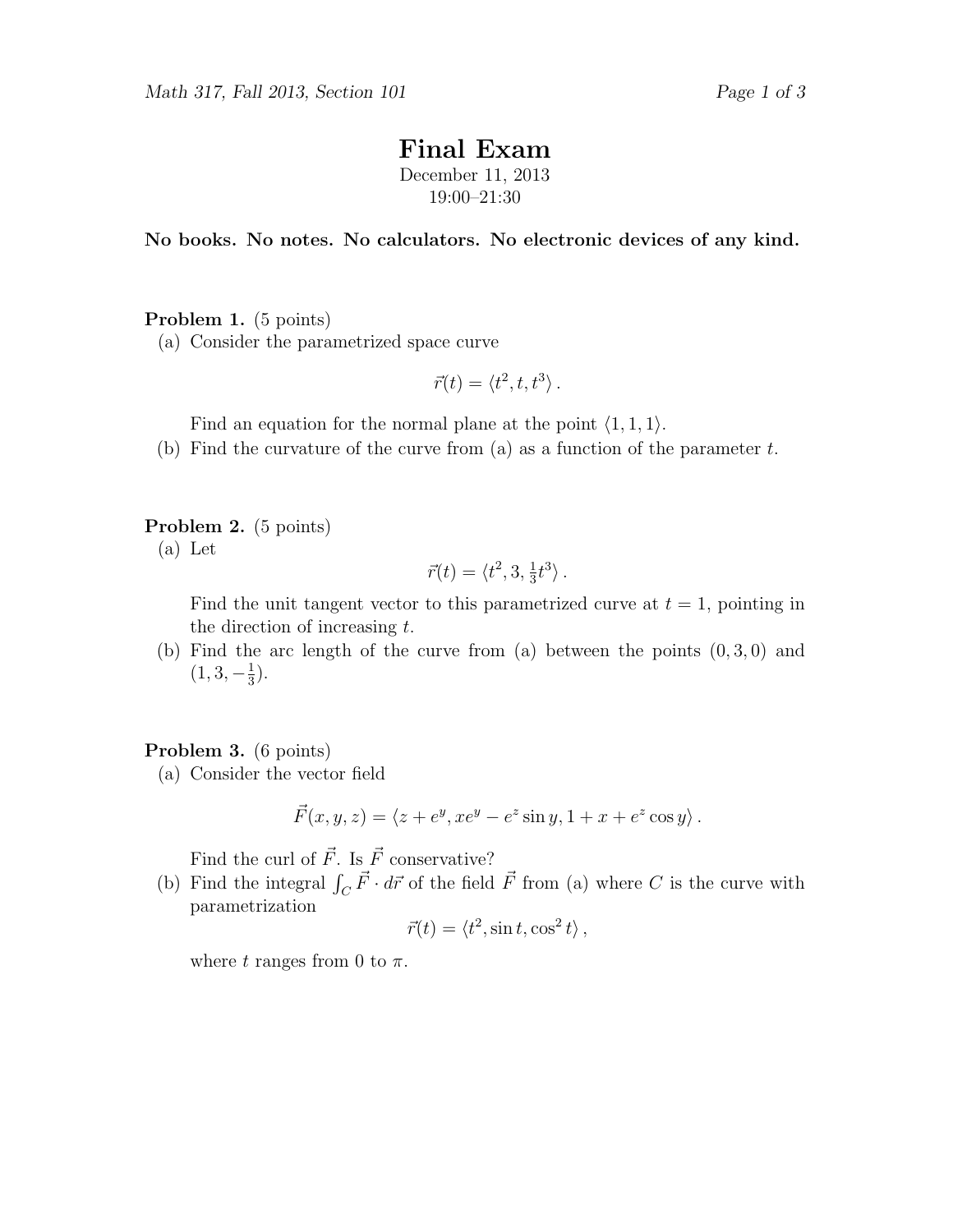# Final Exam

December 11, 2013 19:00–21:30

No books. No notes. No calculators. No electronic devices of any kind.

## Problem 1. (5 points)

(a) Consider the parametrized space curve

$$
\vec{r}(t) = \langle t^2, t, t^3 \rangle.
$$

Find an equation for the normal plane at the point  $\langle 1, 1, 1 \rangle$ .

(b) Find the curvature of the curve from (a) as a function of the parameter  $t$ .

Problem 2. (5 points)

(a) Let

$$
\vec{r}(t) = \langle t^2, 3, \frac{1}{3}t^3 \rangle.
$$

Find the unit tangent vector to this parametrized curve at  $t = 1$ , pointing in the direction of increasing t.

(b) Find the arc length of the curve from (a) between the points  $(0, 3, 0)$  and  $(1, 3, -\frac{1}{3})$  $\frac{1}{3}$ .

## Problem 3. (6 points)

(a) Consider the vector field

$$
\vec{F}(x, y, z) = \langle z + e^y, xe^y - e^z \sin y, 1 + x + e^z \cos y \rangle.
$$

Find the curl of  $\vec{F}$ . Is  $\vec{F}$  conservative?

(b) Find the integral  $\int_C \vec{F} \cdot d\vec{r}$  of the field  $\vec{F}$  from (a) where C is the curve with parametrization

$$
\vec{r}(t) = \langle t^2, \sin t, \cos^2 t \rangle \,,
$$

where t ranges from 0 to  $\pi$ .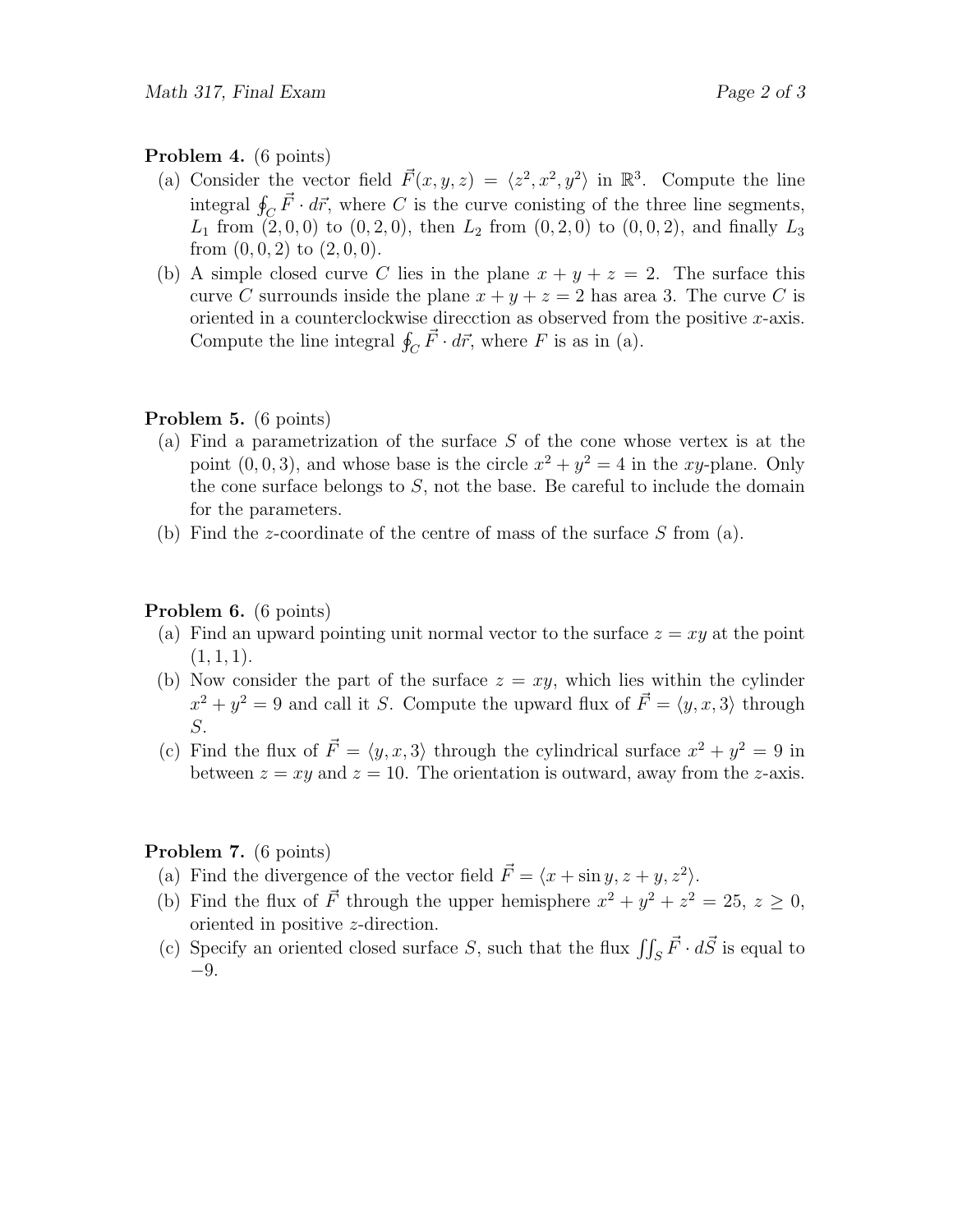#### Problem 4. (6 points)

- (a) Consider the vector field  $\vec{F}(x, y, z) = \langle z^2, x^2, y^2 \rangle$  in  $\mathbb{R}^3$ . Compute the line integral  $\oint_C \vec{F} \cdot d\vec{r}$ , where C is the curve conisting of the three line segments,  $L_1$  from  $(2, 0, 0)$  to  $(0, 2, 0)$ , then  $L_2$  from  $(0, 2, 0)$  to  $(0, 0, 2)$ , and finally  $L_3$ from  $(0, 0, 2)$  to  $(2, 0, 0)$ .
- (b) A simple closed curve C lies in the plane  $x + y + z = 2$ . The surface this curve C surrounds inside the plane  $x + y + z = 2$  has area 3. The curve C is oriented in a counterclockwise direcction as observed from the positive  $x$ -axis. Compute the line integral  $\oint_C \vec{F} \cdot d\vec{r}$ , where F is as in (a).

## Problem 5. (6 points)

- (a) Find a parametrization of the surface S of the cone whose vertex is at the point  $(0, 0, 3)$ , and whose base is the circle  $x^2 + y^2 = 4$  in the xy-plane. Only the cone surface belongs to  $S$ , not the base. Be careful to include the domain for the parameters.
- (b) Find the z-coordinate of the centre of mass of the surface  $S$  from (a).

## Problem 6. (6 points)

- (a) Find an upward pointing unit normal vector to the surface  $z = xy$  at the point  $(1, 1, 1).$
- (b) Now consider the part of the surface  $z = xy$ , which lies within the cylinder  $x^2 + y^2 = 9$  and call it S. Compute the upward flux of  $\vec{F} = \langle y, x, 3 \rangle$  through S.
- (c) Find the flux of  $\vec{F} = \langle y, x, 3 \rangle$  through the cylindrical surface  $x^2 + y^2 = 9$  in between  $z = xy$  and  $z = 10$ . The orientation is outward, away from the z-axis.

## Problem 7. (6 points)

- (a) Find the divergence of the vector field  $\vec{F} = \langle x + \sin y, z + y, z^2 \rangle$ .
- (b) Find the flux of  $\vec{F}$  through the upper hemisphere  $x^2 + y^2 + z^2 = 25$ ,  $z \ge 0$ , oriented in positive z-direction.
- (c) Specify an oriented closed surface S, such that the flux  $\iint_S \vec{F} \cdot d\vec{S}$  is equal to −9.